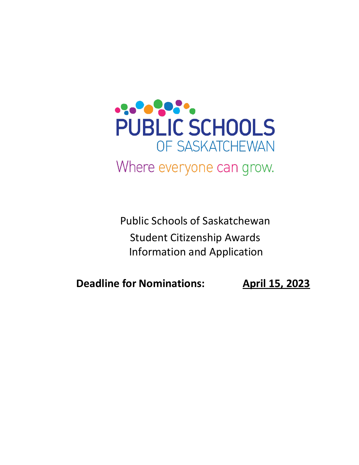

Public Schools of Saskatchewan Student Citizenship Awards Information and Application

**Deadline for Nominations: April 15, 2023**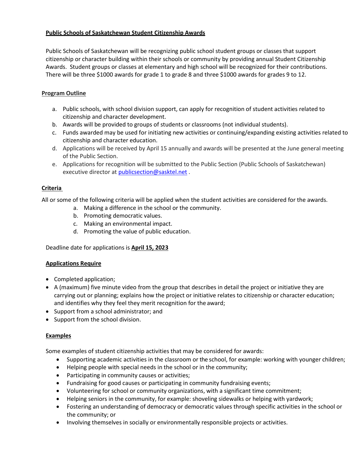## **Public Schools of Saskatchewan Student Citizenship Awards**

Public Schools of Saskatchewan will be recognizing public school student groups or classes that support citizenship or character building within their schools or community by providing annual Student Citizenship Awards. Student groups or classes at elementary and high school will be recognized for their contributions. There will be three \$1000 awards for grade 1 to grade 8 and three \$1000 awards for grades 9 to 12.

## **Program Outline**

- a. Public schools, with school division support, can apply for recognition of student activities related to citizenship and character development.
- b. Awards will be provided to groups of students or classrooms (not individual students).
- c. Funds awarded may be used for initiating new activities or continuing/expanding existing activities related to citizenship and character education.
- d. Applications will be received by April 15 annually and awards will be presented at the June general meeting of the Public Section.
- e. Applications for recognition will be submitted to the Public Section (Public Schools of Saskatchewan) executive director at [publicsection@sasktel.net](mailto:publicsection@sasktel.net).

### **Criteria**

All or some of the following criteria will be applied when the student activities are considered for the awards.

- a. Making a difference in the school or the community.
- b. Promoting democratic values.
- c. Making an environmental impact.
- d. Promoting the value of public education.

Deadline date for applications is **April 15, 2023**

#### **Applications Require**

- Completed application;
- A (maximum) five minute video from the group that describes in detail the project or initiative they are carrying out or planning; explains how the project or initiative relates to citizenship or character education; and identifies why they feel they merit recognition for the award;
- Support from a school administrator; and
- Support from the school division.

#### **Examples**

Some examples of student citizenship activities that may be considered for awards:

- Supporting academic activities in the classroom or the school, for example: working with younger children;
- Helping people with special needs in the school or in the community;
- Participating in community causes or activities;
- Fundraising for good causes or participating in community fundraising events;
- Volunteering for school or community organizations, with a significant time commitment;
- Helping seniors in the community, for example: shoveling sidewalks or helping with yardwork;
- Fostering an understanding of democracy or democratic values through specific activities in the school or the community; or
- Involving themselves in socially or environmentally responsible projects or activities.